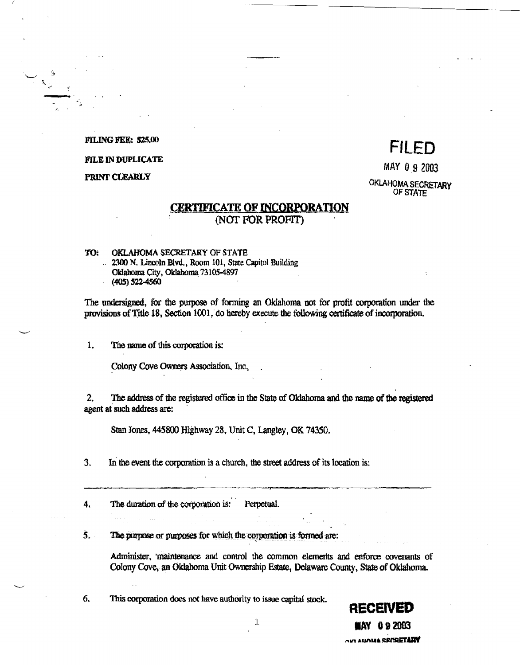#### **FILING FEE: \$25,00**

#### **FILE IN DUPLICATE**

PRINT CLEARLY

# **FILED**

MAY 0 9 2003

## OKLAHOMA SECRETARY OF STATE

## **CERTIFICATE OF INCORPORATION** (NOT FOR PROFIT)

#### OKLAHOMA SECRETARY OF STATE TO: 2300 N. Lincoln Blvd., Room 101, State Capitol Building Oklahoma City, Oklahoma 73105-4897  $(405)$  522-4560

The undersigned, for the purpose of forming an Oklahoma not for profit corporation under the provisions of Title 18, Section 1001, do hereby execute the following certificate of incorporation.

 $\mathbf{1}$ . The name of this corporation is:

Colony Cove Owners Association, Inc.

 $\mathbf{2}$ The address of the registered office in the State of Oklahoma and the name of the registered agent at such address are:

Stan Jones, 445800 Highway 28, Unit C, Langley, OK 74350.

 $3.$ In the event the corporation is a church, the street address of its location is:

4. The duration of the corporation is: Perpetual.

5. The purpose or purposes for which the corporation is formed are:

> Administer, maintenance and control the common elements and enforce covenants of Colony Cove, an Oklahoma Unit Ownership Estate, Delaware County, State of Oklahoma.

> > $\mathbf{1}$

6. This corporation does not have authority to issue capital stock.

**RECEIVED MAY 092003 AVI AUANA SECRETARY**